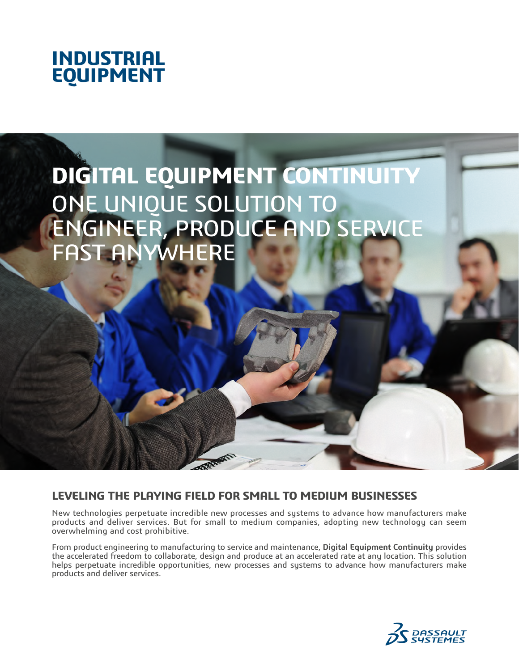



# **LEVELING THE PLAYING FIELD FOR SMALL TO MEDIUM BUSINESSES**

New technologies perpetuate incredible new processes and systems to advance how manufacturers make products and deliver services. But for small to medium companies, adopting new technology can seem overwhelming and cost prohibitive.

From product engineering to manufacturing to service and maintenance, **Digital Equipment Continuity** provides the accelerated freedom to collaborate, design and produce at an accelerated rate at any location. This solution helps perpetuate incredible opportunities, new processes and systems to advance how manufacturers make products and deliver services.